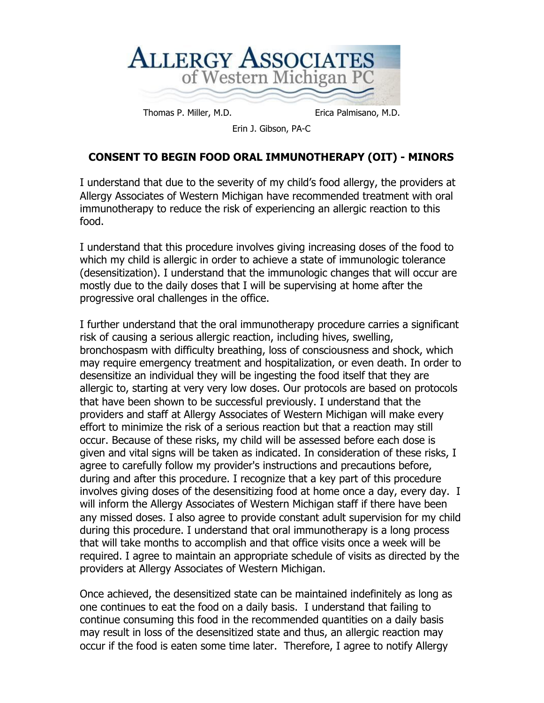

Thomas P. Miller, M.D. Erica Palmisano, M.D.

Erin J. Gibson, PA-C

## **CONSENT TO BEGIN FOOD ORAL IMMUNOTHERAPY (OIT) - MINORS**

I understand that due to the severity of my child's food allergy, the providers at Allergy Associates of Western Michigan have recommended treatment with oral immunotherapy to reduce the risk of experiencing an allergic reaction to this food.

I understand that this procedure involves giving increasing doses of the food to which my child is allergic in order to achieve a state of immunologic tolerance (desensitization). I understand that the immunologic changes that will occur are mostly due to the daily doses that I will be supervising at home after the progressive oral challenges in the office.

I further understand that the oral immunotherapy procedure carries a significant risk of causing a serious allergic reaction, including hives, swelling, bronchospasm with difficulty breathing, loss of consciousness and shock, which may require emergency treatment and hospitalization, or even death. In order to desensitize an individual they will be ingesting the food itself that they are allergic to, starting at very very low doses. Our protocols are based on protocols that have been shown to be successful previously. I understand that the providers and staff at Allergy Associates of Western Michigan will make every effort to minimize the risk of a serious reaction but that a reaction may still occur. Because of these risks, my child will be assessed before each dose is given and vital signs will be taken as indicated. In consideration of these risks, I agree to carefully follow my provider's instructions and precautions before, during and after this procedure. I recognize that a key part of this procedure involves giving doses of the desensitizing food at home once a day, every day. I will inform the Allergy Associates of Western Michigan staff if there have been any missed doses. I also agree to provide constant adult supervision for my child during this procedure. I understand that oral immunotherapy is a long process that will take months to accomplish and that office visits once a week will be required. I agree to maintain an appropriate schedule of visits as directed by the providers at Allergy Associates of Western Michigan.

Once achieved, the desensitized state can be maintained indefinitely as long as one continues to eat the food on a daily basis. I understand that failing to continue consuming this food in the recommended quantities on a daily basis may result in loss of the desensitized state and thus, an allergic reaction may occur if the food is eaten some time later. Therefore, I agree to notify Allergy